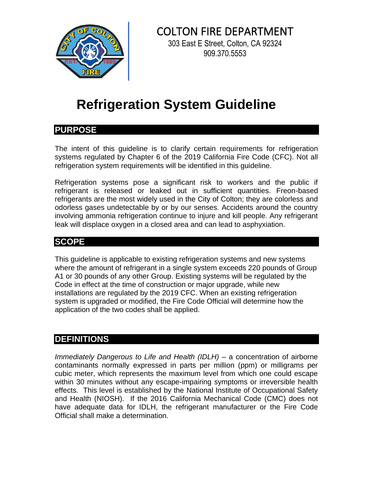

# COLTON FIRE DEPARTMENT 303 East E Street, Colton, CA 92324

909.370.5553

# **Refrigeration System Guideline**

# **PURPOSE**

The intent of this guideline is to clarify certain requirements for refrigeration systems regulated by Chapter 6 of the 2019 California Fire Code (CFC). Not all refrigeration system requirements will be identified in this guideline.

Refrigeration systems pose a significant risk to workers and the public if refrigerant is released or leaked out in sufficient quantities. Freon-based refrigerants are the most widely used in the City of Colton; they are colorless and odorless gases undetectable by or by our senses. Accidents around the country involving ammonia refrigeration continue to injure and kill people. Any refrigerant leak will displace oxygen in a closed area and can lead to asphyxiation.

## **SCOPE**

This guideline is applicable to existing refrigeration systems and new systems where the amount of refrigerant in a single system exceeds 220 pounds of Group A1 or 30 pounds of any other Group. Existing systems will be regulated by the Code in effect at the time of construction or major upgrade, while new installations are regulated by the 2019 CFC. When an existing refrigeration system is upgraded or modified, the Fire Code Official will determine how the application of the two codes shall be applied.

# **DEFINITIONS**

*Immediately Dangerous to Life and Health (IDLH)* – a concentration of airborne contaminants normally expressed in parts per million (ppm) or milligrams per cubic meter, which represents the maximum level from which one could escape within 30 minutes without any escape-impairing symptoms or irreversible health effects. This level is established by the National Institute of Occupational Safety and Health (NIOSH). If the 2016 California Mechanical Code (CMC) does not have adequate data for IDLH, the refrigerant manufacturer or the Fire Code Official shall make a determination.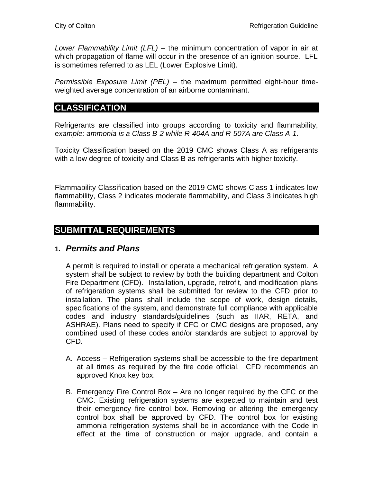*Lower Flammability Limit (LFL) –* the minimum concentration of vapor in air at which propagation of flame will occur in the presence of an ignition source. LFL is sometimes referred to as LEL (Lower Explosive Limit).

*Permissible Exposure Limit (PEL)* – the maximum permitted eight-hour timeweighted average concentration of an airborne contaminant.

## **CLASSIFICATION**

Refrigerants are classified into groups according to toxicity and flammability, e*xample: ammonia is a Class B-2 while R-404A and R-507A are Class A-1*.

Toxicity Classification based on the 2019 CMC shows Class A as refrigerants with a low degree of toxicity and Class B as refrigerants with higher toxicity.

Flammability Classification based on the 2019 CMC shows Class 1 indicates low flammability, Class 2 indicates moderate flammability, and Class 3 indicates high flammability.

## **SUBMITTAL REQUIREMENTS**

#### **1.** *Permits and Plans*

A permit is required to install or operate a mechanical refrigeration system. A system shall be subject to review by both the building department and Colton Fire Department (CFD). Installation, upgrade, retrofit, and modification plans of refrigeration systems shall be submitted for review to the CFD prior to installation. The plans shall include the scope of work, design details, specifications of the system, and demonstrate full compliance with applicable codes and industry standards/guidelines (such as IIAR, RETA, and ASHRAE). Plans need to specify if CFC or CMC designs are proposed, any combined used of these codes and/or standards are subject to approval by CFD.

- A. Access Refrigeration systems shall be accessible to the fire department at all times as required by the fire code official. CFD recommends an approved Knox key box.
- B. Emergency Fire Control Box Are no longer required by the CFC or the CMC. Existing refrigeration systems are expected to maintain and test their emergency fire control box. Removing or altering the emergency control box shall be approved by CFD. The control box for existing ammonia refrigeration systems shall be in accordance with the Code in effect at the time of construction or major upgrade, and contain a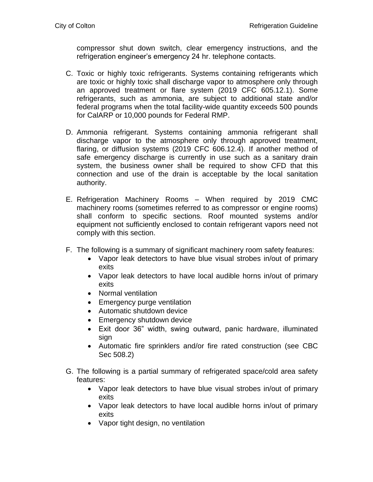compressor shut down switch, clear emergency instructions, and the refrigeration engineer's emergency 24 hr. telephone contacts.

- C. Toxic or highly toxic refrigerants. Systems containing refrigerants which are toxic or highly toxic shall discharge vapor to atmosphere only through an approved treatment or flare system (2019 CFC 605.12.1). Some refrigerants, such as ammonia, are subject to additional state and/or federal programs when the total facility-wide quantity exceeds 500 pounds for CalARP or 10,000 pounds for Federal RMP.
- D. Ammonia refrigerant. Systems containing ammonia refrigerant shall discharge vapor to the atmosphere only through approved treatment, flaring, or diffusion systems (2019 CFC 606.12.4). If another method of safe emergency discharge is currently in use such as a sanitary drain system, the business owner shall be required to show CFD that this connection and use of the drain is acceptable by the local sanitation authority.
- E. Refrigeration Machinery Rooms When required by 2019 CMC machinery rooms (sometimes referred to as compressor or engine rooms) shall conform to specific sections. Roof mounted systems and/or equipment not sufficiently enclosed to contain refrigerant vapors need not comply with this section.
- F. The following is a summary of significant machinery room safety features:
	- Vapor leak detectors to have blue visual strobes in/out of primary exits
	- Vapor leak detectors to have local audible horns in/out of primary exits
	- Normal ventilation
	- Emergency purge ventilation
	- Automatic shutdown device
	- Emergency shutdown device
	- Exit door 36" width, swing outward, panic hardware, illuminated sign
	- Automatic fire sprinklers and/or fire rated construction (see CBC Sec 508.2)
- G. The following is a partial summary of refrigerated space/cold area safety features:
	- Vapor leak detectors to have blue visual strobes in/out of primary exits
	- Vapor leak detectors to have local audible horns in/out of primary exits
	- Vapor tight design, no ventilation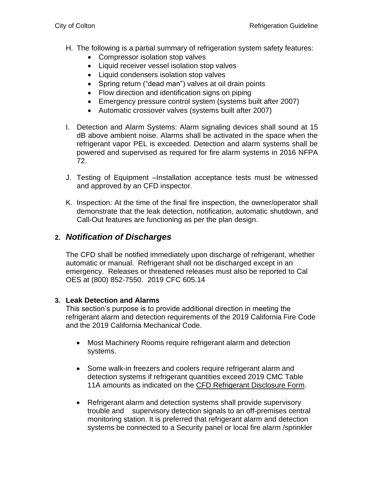- H. The following is a partial summary of refrigeration system safety features:
	- Compressor isolation stop valves
	- Liquid receiver vessel isolation stop valves
	- Liquid condensers isolation stop valves
	- Spring return ("dead man") valves at oil drain points
	- Flow direction and identification signs on piping
	- Emergency pressure control system (systems built after 2007)
	- Automatic crossover valves (systems built after 2007)
- I. Detection and Alarm Systems: Alarm signaling devices shall sound at 15 dB above ambient noise. Alarms shall be activated in the space when the refrigerant vapor PEL is exceeded. Detection and alarm systems shall be powered and supervised as required for fire alarm systems in 2016 NFPA 72.
- J. Testing of Equipment –Installation acceptance tests must be witnessed and approved by an CFD inspector.
- K. Inspection: At the time of the final fire inspection, the owner/operator shall demonstrate that the leak detection, notification, automatic shutdown, and Call-Out features are functioning as per the plan design.

#### **2.** *Notification of Discharges*

The CFD shall be notified immediately upon discharge of refrigerant, whether automatic or manual. Refrigerant shall not be discharged except in an emergency. Releases or threatened releases must also be reported to Cal OES at (800) 852-7550. 2019 CFC 605.14

#### **3. Leak Detection and Alarms**

This section's purpose is to provide additional direction in meeting the refrigerant alarm and detection requirements of the 2019 California Fire Code and the 2019 California Mechanical Code.

- Most Machinery Rooms require refrigerant alarm and detection systems.
- Some walk-in freezers and coolers require refrigerant alarm and detection systems if refrigerant quantities exceed 2019 CMC Table 11A amounts as indicated on the CFD Refrigerant Disclosure Form.
- Refrigerant alarm and detection systems shall provide supervisory trouble and supervisory detection signals to an off-premises central monitoring station. It is preferred that refrigerant alarm and detection systems be connected to a Security panel or local fire alarm /sprinkler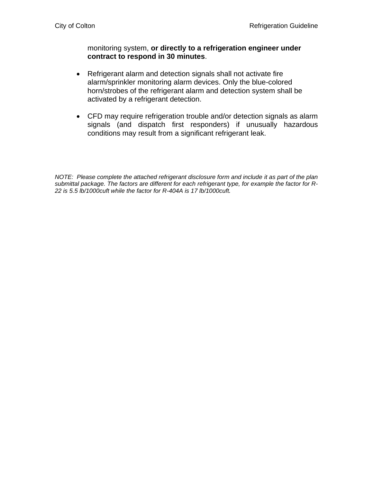monitoring system, **or directly to a refrigeration engineer under contract to respond in 30 minutes**.

- Refrigerant alarm and detection signals shall not activate fire alarm/sprinkler monitoring alarm devices. Only the blue-colored horn/strobes of the refrigerant alarm and detection system shall be activated by a refrigerant detection.
- CFD may require refrigeration trouble and/or detection signals as alarm signals (and dispatch first responders) if unusually hazardous conditions may result from a significant refrigerant leak.

*NOTE: Please complete the attached refrigerant disclosure form and include it as part of the plan submittal package. The factors are different for each refrigerant type, for example the factor for R-22 is 5.5 lb/1000cuft while the factor for R-404A is 17 lb/1000cuft.*